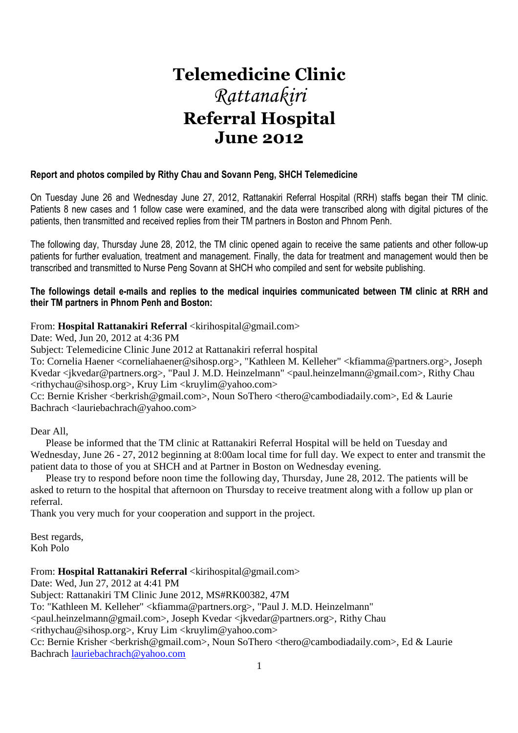# **Telemedicine Clinic**  *Rattanakiri*  **Referral Hospital June 2012**

# **Report and photos compiled by Rithy Chau and Sovann Peng, SHCH Telemedicine**

On Tuesday June 26 and Wednesday June 27, 2012, Rattanakiri Referral Hospital (RRH) staffs began their TM clinic. Patients 8 new cases and 1 follow case were examined, and the data were transcribed along with digital pictures of the patients, then transmitted and received replies from their TM partners in Boston and Phnom Penh.

The following day, Thursday June 28, 2012, the TM clinic opened again to receive the same patients and other follow-up patients for further evaluation, treatment and management. Finally, the data for treatment and management would then be transcribed and transmitted to Nurse Peng Sovann at SHCH who compiled and sent for website publishing.

# **The followings detail e-mails and replies to the medical inquiries communicated between TM clinic at RRH and their TM partners in Phnom Penh and Boston:**

# From: **Hospital Rattanakiri Referral** <kirihospital@gmail.com>

Date: Wed, Jun 20, 2012 at 4:36 PM

Subject: Telemedicine Clinic June 2012 at Rattanakiri referral hospital

To: Cornelia Haener <corneliahaener@sihosp.org>, "Kathleen M. Kelleher" <kfiamma@partners.org>, Joseph Kvedar <jkvedar@partners.org>, "Paul J. M.D. Heinzelmann" <paul.heinzelmann@gmail.com>, Rithy Chau  $\langle$ rithychau@sihosp.org>, Kruy Lim  $\langle$ kruylim@yahoo.com>

Cc: Bernie Krisher <berkrish@gmail.com>, Noun SoThero <thero@cambodiadaily.com>, Ed & Laurie Bachrach <lauriebachrach@yahoo.com>

Dear All,

 Please be informed that the TM clinic at Rattanakiri Referral Hospital will be held on Tuesday and Wednesday, June 26 - 27, 2012 beginning at 8:00am local time for full day. We expect to enter and transmit the patient data to those of you at SHCH and at Partner in Boston on Wednesday evening.

 Please try to respond before noon time the following day, Thursday, June 28, 2012. The patients will be asked to return to the hospital that afternoon on Thursday to receive treatment along with a follow up plan or referral.

Thank you very much for your cooperation and support in the project.

Best regards, Koh Polo

From: **Hospital Rattanakiri Referral** <kirihospital@gmail.com>

Date: Wed, Jun 27, 2012 at 4:41 PM

Subject: Rattanakiri TM Clinic June 2012, MS#RK00382, 47M

To: "Kathleen M. Kelleher" <kfiamma@partners.org>, "Paul J. M.D. Heinzelmann"

<paul.heinzelmann@gmail.com>, Joseph Kvedar <jkvedar@partners.org>, Rithy Chau

<rithychau@sihosp.org>, Kruy Lim <kruylim@yahoo.com>

Cc: Bernie Krisher <br/> <br/>berkrish@gmail.com>, Noun SoThero <thero@cambodiadaily.com>, Ed & Laurie Bachrach lauriebachrach@yahoo.com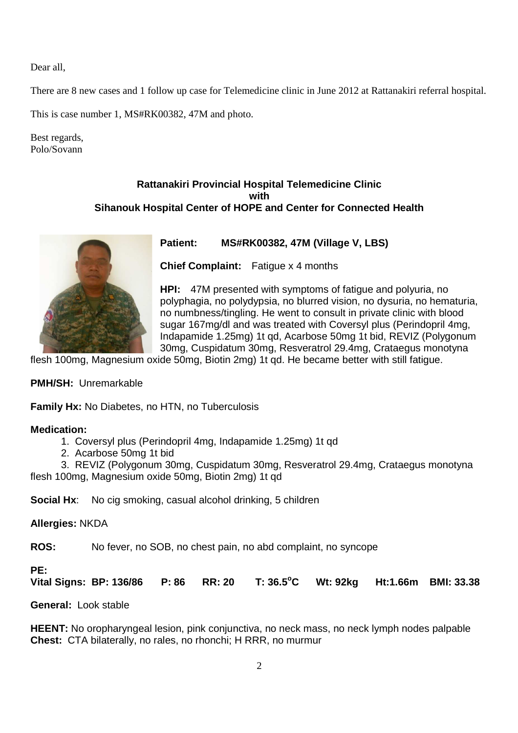Dear all,

There are 8 new cases and 1 follow up case for Telemedicine clinic in June 2012 at Rattanakiri referral hospital.

This is case number 1, MS#RK00382, 47M and photo.

Best regards, Polo/Sovann

# **Rattanakiri Provincial Hospital Telemedicine Clinic with Sihanouk Hospital Center of HOPE and Center for Connected Health**



# **Patient: MS#RK00382, 47M (Village V, LBS)**

**Chief Complaint:** Fatigue x 4 months

**HPI:** 47M presented with symptoms of fatigue and polyuria, no polyphagia, no polydypsia, no blurred vision, no dysuria, no hematuria, no numbness/tingling. He went to consult in private clinic with blood sugar 167mg/dl and was treated with Coversyl plus (Perindopril 4mg, Indapamide 1.25mg) 1t qd, Acarbose 50mg 1t bid, REVIZ (Polygonum 30mg, Cuspidatum 30mg, Resveratrol 29.4mg, Crataegus monotyna

flesh 100mg, Magnesium oxide 50mg, Biotin 2mg) 1t qd. He became better with still fatigue.

**PMH/SH:** Unremarkable

**Family Hx:** No Diabetes, no HTN, no Tuberculosis

# **Medication:**

- 1. Coversyl plus (Perindopril 4mg, Indapamide 1.25mg) 1t qd
- 2. Acarbose 50mg 1t bid
- 3. REVIZ (Polygonum 30mg, Cuspidatum 30mg, Resveratrol 29.4mg, Crataegus monotyna

flesh 100mg, Magnesium oxide 50mg, Biotin 2mg) 1t qd

**Social Hx:** No cig smoking, casual alcohol drinking, 5 children

# **Allergies:** NKDA

**ROS:** No fever, no SOB, no chest pain, no abd complaint, no syncope

# **PE:**

**Vital Signs: BP: 136/86 P: 86 RR: 20 T: 36.5<sup>o</sup>C Wt: 92kg Ht:1.66m BMI: 33.38**

**General:** Look stable

**HEENT:** No oropharyngeal lesion, pink conjunctiva, no neck mass, no neck lymph nodes palpable **Chest:** CTA bilaterally, no rales, no rhonchi; H RRR, no murmur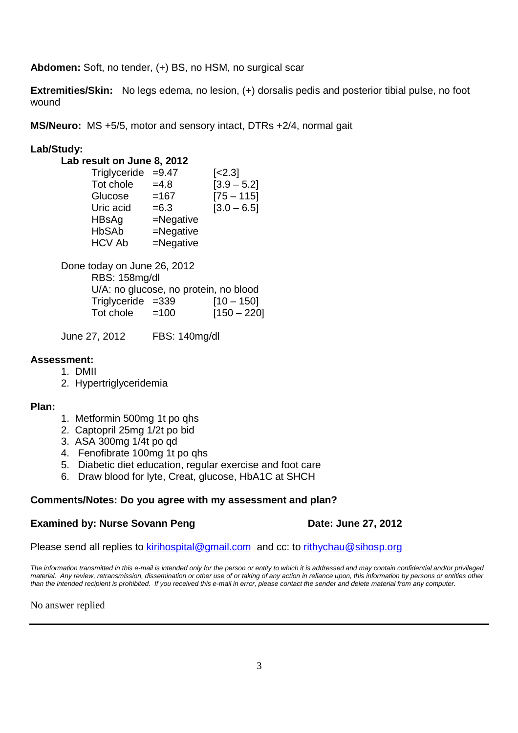**Abdomen:** Soft, no tender, (+) BS, no HSM, no surgical scar

**Extremities/Skin:** No legs edema, no lesion, (+) dorsalis pedis and posterior tibial pulse, no foot wound

**MS/Neuro:** MS +5/5, motor and sensory intact, DTRs +2/4, normal gait

# **Lab/Study:**

| Lab result on June 8, 2012 |              |               |
|----------------------------|--------------|---------------|
| Triglyceride               | $=9.47$      | $[-2.3]$      |
| Tot chole                  | $=4.8$       | $[3.9 - 5.2]$ |
| Glucose                    | $=167$       | $[75 - 115]$  |
| Uric acid                  | $= 6.3$      | $[3.0 - 6.5]$ |
| HBsAg                      | $=$ Negative |               |
| <b>HbSAb</b>               | $=$ Negative |               |
| <b>HCV Ab</b>              | $=$ Negative |               |
|                            |              |               |

Done today on June 26, 2012 RBS: 158mg/dl U/A: no glucose, no protein, no blood  $Trialyceride = 339$   $[10 - 150]$ Tot chole  $=100$  [150 – 220]

June 27, 2012 FBS: 140mg/dl

# **Assessment:**

- 1. DMII
- 2. Hypertriglyceridemia

# **Plan:**

- 1. Metformin 500mg 1t po qhs
- 2. Captopril 25mg 1/2t po bid
- 3. ASA 300mg 1/4t po qd
- 4. Fenofibrate 100mg 1t po qhs
- 5. Diabetic diet education, regular exercise and foot care
- 6. Draw blood for lyte, Creat, glucose, HbA1C at SHCH

# **Comments/Notes: Do you agree with my assessment and plan?**

# **Examined by: Nurse Sovann Peng Date: June 27, 2012**

Please send all replies to kirihospital@gmail.com and cc: to rithychau@sihosp.org

The information transmitted in this e-mail is intended only for the person or entity to which it is addressed and may contain confidential and/or privileged material. Any review, retransmission, dissemination or other use of or taking of any action in reliance upon, this information by persons or entities other than the intended recipient is prohibited. If you received this e-mail in error, please contact the sender and delete material from any computer.

No answer replied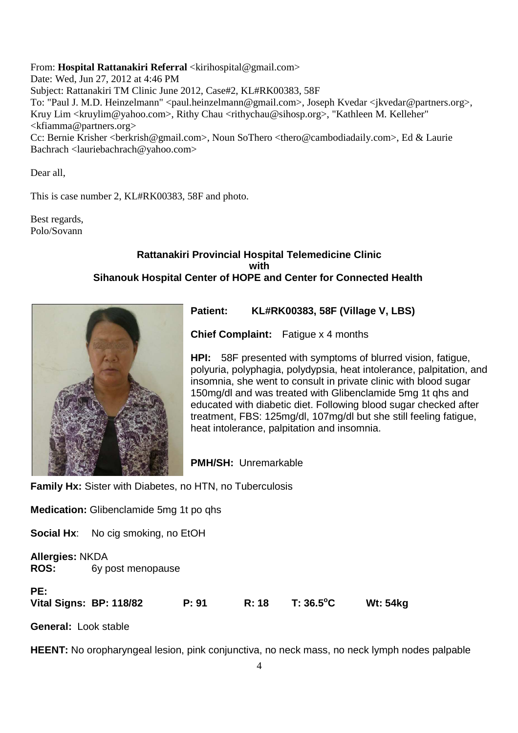From: **Hospital Rattanakiri Referral** <kirihospital@gmail.com> Date: Wed, Jun 27, 2012 at 4:46 PM Subject: Rattanakiri TM Clinic June 2012, Case#2, KL#RK00383, 58F To: "Paul J. M.D. Heinzelmann" <paul.heinzelmann@gmail.com>, Joseph Kvedar <jkvedar@partners.org>, Kruy Lim <kruylim@yahoo.com>, Rithy Chau <rithychau@sihosp.org>, "Kathleen M. Kelleher" <kfiamma@partners.org> Cc: Bernie Krisher <br/> <br/>berkrish@gmail.com>, Noun SoThero <thero@cambodiadaily.com>, Ed & Laurie Bachrach <lauriebachrach@yahoo.com>

Dear all,

This is case number 2, KL#RK00383, 58F and photo.

Best regards, Polo/Sovann

# **Rattanakiri Provincial Hospital Telemedicine Clinic with Sihanouk Hospital Center of HOPE and Center for Connected Health**



**Patient: KL#RK00383, 58F (Village V, LBS)** 

**Chief Complaint:** Fatigue x 4 months

**HPI:** 58F presented with symptoms of blurred vision, fatigue, polyuria, polyphagia, polydypsia, heat intolerance, palpitation, and insomnia, she went to consult in private clinic with blood sugar 150mg/dl and was treated with Glibenclamide 5mg 1t qhs and educated with diabetic diet. Following blood sugar checked after treatment, FBS: 125mg/dl, 107mg/dl but she still feeling fatigue, heat intolerance, palpitation and insomnia.

**PMH/SH:** Unremarkable

**Family Hx:** Sister with Diabetes, no HTN, no Tuberculosis

**Medication:** Glibenclamide 5mg 1t po qhs

**Social Hx:** No cig smoking, no EtOH

**Allergies:** NKDA **ROS:** 6y post menopause

| PE:<br>Vital Signs: BP: 118/82 | P: 91 | $R: 18$ T: 36.5°C | Wt: 54kg |
|--------------------------------|-------|-------------------|----------|
|                                |       |                   |          |

**General:** Look stable

**HEENT:** No oropharyngeal lesion, pink conjunctiva, no neck mass, no neck lymph nodes palpable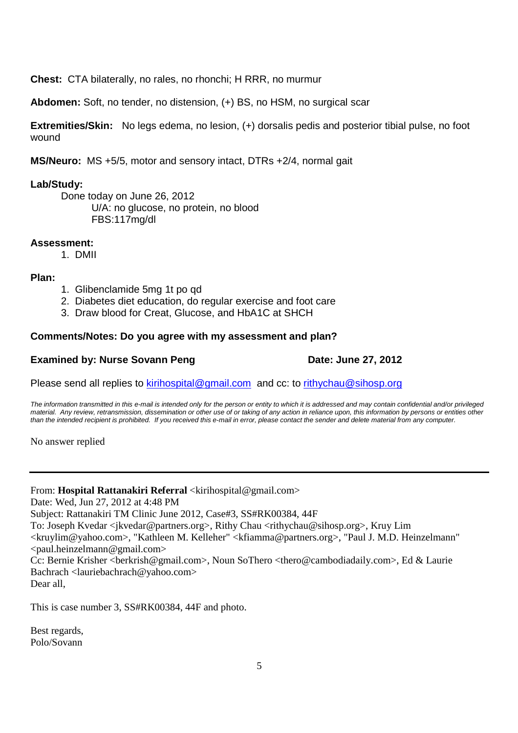**Chest:** CTA bilaterally, no rales, no rhonchi; H RRR, no murmur

**Abdomen:** Soft, no tender, no distension, (+) BS, no HSM, no surgical scar

**Extremities/Skin:** No legs edema, no lesion, (+) dorsalis pedis and posterior tibial pulse, no foot wound

**MS/Neuro:** MS +5/5, motor and sensory intact, DTRs +2/4, normal gait

# **Lab/Study:**

Done today on June 26, 2012 U/A: no glucose, no protein, no blood FBS:117mg/dl

# **Assessment:**

1. DMII

# **Plan:**

- 1. Glibenclamide 5mg 1t po qd
- 2. Diabetes diet education, do regular exercise and foot care
- 3. Draw blood for Creat, Glucose, and HbA1C at SHCH

# **Comments/Notes: Do you agree with my assessment and plan?**

# **Examined by: Nurse Sovann Peng Date: June 27, 2012**

Please send all replies to kirihospital@gmail.com and cc: to rithychau@sihosp.org

The information transmitted in this e-mail is intended only for the person or entity to which it is addressed and may contain confidential and/or privileged material. Any review, retransmission, dissemination or other use of or taking of any action in reliance upon, this information by persons or entities other than the intended recipient is prohibited. If you received this e-mail in error, please contact the sender and delete material from any computer.

No answer replied

From: **Hospital Rattanakiri Referral** <kirihospital@gmail.com>

Date: Wed, Jun 27, 2012 at 4:48 PM

Subject: Rattanakiri TM Clinic June 2012, Case#3, SS#RK00384, 44F

To: Joseph Kvedar <jkvedar@partners.org>, Rithy Chau <rithychau@sihosp.org>, Kruy Lim

<kruylim@yahoo.com>, "Kathleen M. Kelleher" <kfiamma@partners.org>, "Paul J. M.D. Heinzelmann"  $\le$ paul.heinzelmann@gmail.com>

Cc: Bernie Krisher <br/>berkrish@gmail.com>, Noun SoThero <thero@cambodiadaily.com>, Ed & Laurie Bachrach <lauriebachrach@yahoo.com>

Dear all,

This is case number 3, SS#RK00384, 44F and photo.

Best regards, Polo/Sovann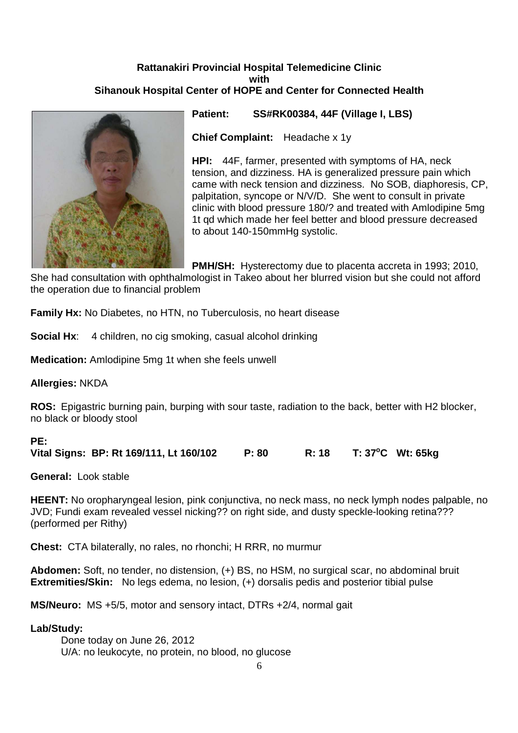# **Rattanakiri Provincial Hospital Telemedicine Clinic with Sihanouk Hospital Center of HOPE and Center for Connected Health**



**Patient: SS#RK00384, 44F (Village I, LBS)** 

**Chief Complaint:** Headache x 1y

**HPI:** 44F, farmer, presented with symptoms of HA, neck tension, and dizziness. HA is generalized pressure pain which came with neck tension and dizziness. No SOB, diaphoresis, CP, palpitation, syncope or N/V/D. She went to consult in private clinic with blood pressure 180/? and treated with Amlodipine 5mg 1t qd which made her feel better and blood pressure decreased to about 140-150mmHg systolic.

**PMH/SH:** Hysterectomy due to placenta accreta in 1993; 2010,

She had consultation with ophthalmologist in Takeo about her blurred vision but she could not afford the operation due to financial problem

**Family Hx:** No Diabetes, no HTN, no Tuberculosis, no heart disease

**Social Hx:** 4 children, no cig smoking, casual alcohol drinking

**Medication:** Amlodipine 5mg 1t when she feels unwell

**Allergies:** NKDA

**ROS:** Epigastric burning pain, burping with sour taste, radiation to the back, better with H2 blocker, no black or bloody stool

# **PE:**

**Vital Signs: BP: Rt 169/111, Lt 160/102 P: 80 R: 18 T: 37<sup>o</sup>C Wt: 65kg**

**General:** Look stable

**HEENT:** No oropharyngeal lesion, pink conjunctiva, no neck mass, no neck lymph nodes palpable, no JVD; Fundi exam revealed vessel nicking?? on right side, and dusty speckle-looking retina??? (performed per Rithy)

**Chest:** CTA bilaterally, no rales, no rhonchi; H RRR, no murmur

**Abdomen:** Soft, no tender, no distension, (+) BS, no HSM, no surgical scar, no abdominal bruit **Extremities/Skin:** No legs edema, no lesion, (+) dorsalis pedis and posterior tibial pulse

**MS/Neuro:** MS +5/5, motor and sensory intact, DTRs +2/4, normal gait

# **Lab/Study:**

Done today on June 26, 2012 U/A: no leukocyte, no protein, no blood, no glucose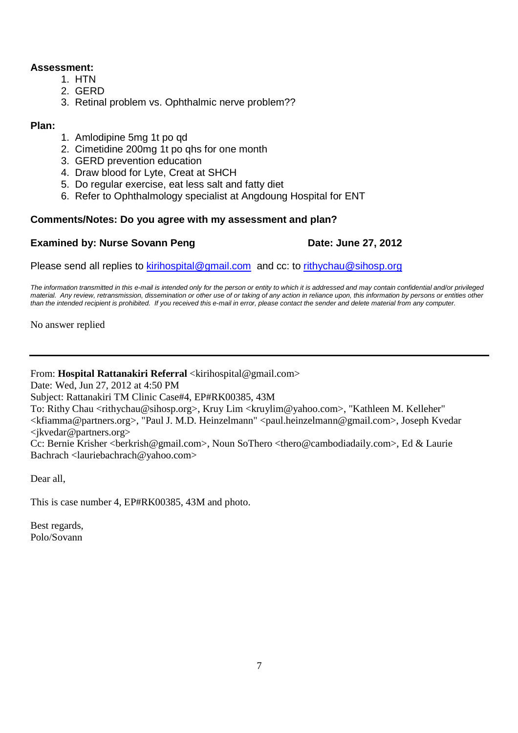# **Assessment:**

- 1. HTN
- 2. GERD
- 3. Retinal problem vs. Ophthalmic nerve problem??

# **Plan:**

- 1. Amlodipine 5mg 1t po qd
- 2. Cimetidine 200mg 1t po qhs for one month
- 3. GERD prevention education
- 4. Draw blood for Lyte, Creat at SHCH
- 5. Do regular exercise, eat less salt and fatty diet
- 6. Refer to Ophthalmology specialist at Angdoung Hospital for ENT

# **Comments/Notes: Do you agree with my assessment and plan?**

# **Examined by: Nurse Sovann Peng Date: June 27, 2012**

Please send all replies to kirihospital@gmail.com and cc: to rithychau@sihosp.org

The information transmitted in this e-mail is intended only for the person or entity to which it is addressed and may contain confidential and/or privileged material. Any review, retransmission, dissemination or other use of or taking of any action in reliance upon, this information by persons or entities other than the intended recipient is prohibited. If you received this e-mail in error, please contact the sender and delete material from any computer.

No answer replied

From: **Hospital Rattanakiri Referral** <kirihospital@gmail.com>

Date: Wed, Jun 27, 2012 at 4:50 PM

Subject: Rattanakiri TM Clinic Case#4, EP#RK00385, 43M

To: Rithy Chau <rithychau@sihosp.org>, Kruy Lim <kruylim@yahoo.com>, "Kathleen M. Kelleher" <kfiamma@partners.org>, "Paul J. M.D. Heinzelmann" <paul.heinzelmann@gmail.com>, Joseph Kvedar <jkvedar@partners.org>

Cc: Bernie Krisher <br/> <br/>berkrish@gmail.com>, Noun SoThero <thero@cambodiadaily.com>, Ed & Laurie Bachrach <lauriebachrach@yahoo.com>

Dear all,

This is case number 4, EP#RK00385, 43M and photo.

Best regards, Polo/Sovann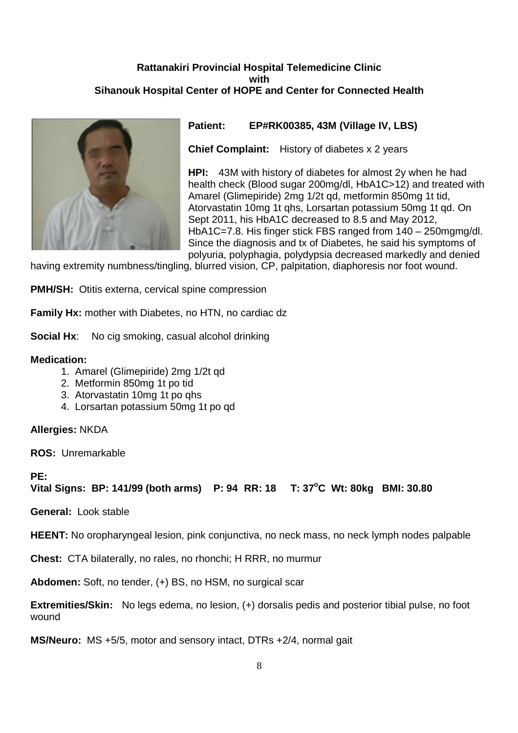# **Rattanakiri Provincial Hospital Telemedicine Clinic with Sihanouk Hospital Center of HOPE and Center for Connected Health**



# **Patient: EP#RK00385, 43M (Village IV, LBS)**

**Chief Complaint:** History of diabetes x 2 years

**HPI:** 43M with history of diabetes for almost 2y when he had health check (Blood sugar 200mg/dl, HbA1C>12) and treated with Amarel (Glimepiride) 2mg 1/2t qd, metformin 850mg 1t tid, Atorvastatin 10mg 1t qhs, Lorsartan potassium 50mg 1t qd. On Sept 2011, his HbA1C decreased to 8.5 and May 2012, HbA1C=7.8. His finger stick FBS ranged from 140 – 250mgmg/dl. Since the diagnosis and tx of Diabetes, he said his symptoms of polyuria, polyphagia, polydypsia decreased markedly and denied

having extremity numbness/tingling, blurred vision, CP, palpitation, diaphoresis nor foot wound.

**PMH/SH:** Otitis externa, cervical spine compression

**Family Hx:** mother with Diabetes, no HTN, no cardiac dz

**Social Hx:** No cig smoking, casual alcohol drinking

# **Medication:**

- 1. Amarel (Glimepiride) 2mg 1/2t qd
- 2. Metformin 850mg 1t po tid
- 3. Atorvastatin 10mg 1t po qhs
- 4. Lorsartan potassium 50mg 1t po qd

**Allergies:** NKDA

**ROS:** Unremarkable

# **PE:**

**Vital Signs: BP: 141/99 (both arms) P: 94 RR: 18 T: 37<sup>o</sup>C Wt: 80kg BMI: 30.80** 

**General:** Look stable

**HEENT:** No oropharyngeal lesion, pink conjunctiva, no neck mass, no neck lymph nodes palpable

**Chest:** CTA bilaterally, no rales, no rhonchi; H RRR, no murmur

**Abdomen:** Soft, no tender, (+) BS, no HSM, no surgical scar

**Extremities/Skin:** No legs edema, no lesion, (+) dorsalis pedis and posterior tibial pulse, no foot wound

**MS/Neuro:** MS +5/5, motor and sensory intact, DTRs +2/4, normal gait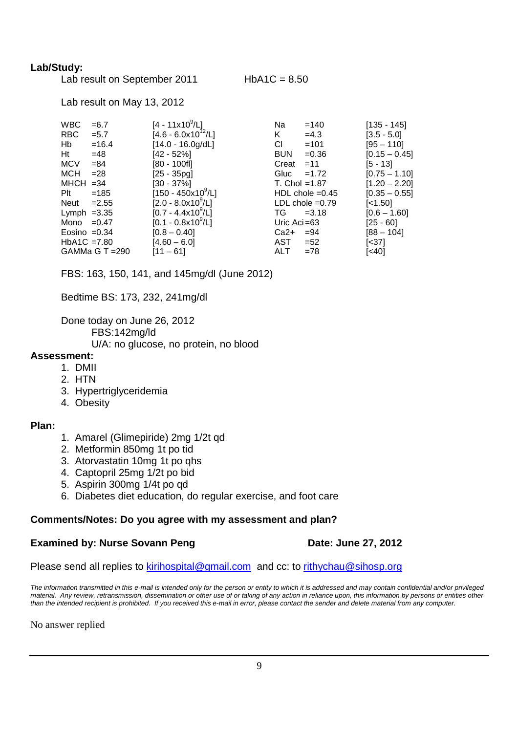# **Lab/Study:**

| Lab result on September 2011 |  |
|------------------------------|--|
|------------------------------|--|

 $HbA1C = 8.50$ 

Lab result on May 13, 2012

| <b>WBC</b> | $= 6.7$         | $[4 - 11 \times 10^9/L]$      | Na               | $=140$            | $[135 - 145]$   |
|------------|-----------------|-------------------------------|------------------|-------------------|-----------------|
| RBC        | $= 5.7$         | $[4.6 - 6.0x10^{12}/L]$       | K.               | $=4.3$            | $[3.5 - 5.0]$   |
| Hb         | $=16.4$         | $[14.0 - 16.0g/dL]$           | CI.              | $=101$            | $[95 - 110]$    |
| Ht         | $=48$           | $[42 - 52\%]$                 | <b>BUN</b>       | $= 0.36$          | $[0.15 - 0.45]$ |
| MCV        | $= 84$          | $[80 - 100f]$                 | Creat            | $=11$             | [5 - 13]        |
| <b>MCH</b> | $= 28$          | $[25 - 35pg]$                 | Gluc             | $=1.72$           | $[0.75 - 1.10]$ |
|            | $MHCH = 34$     | [30 - 37%]                    | $T.$ Chol = 1.87 |                   | $[1.20 - 2.20]$ |
| Plt        | $=185$          | $[150 - 450 \times 10^9 / L]$ |                  | HDL chole $=0.45$ | $[0.35 - 0.55]$ |
| Neut       | $=2.55$         | $[2.0 - 8.0x10^9/L]$          |                  | LDL chole $=0.79$ | [<1.50]         |
|            | Lymph $=3.35$   | $[0.7 - 4.4x10^9/L]$          | TG               | $= 3.18$          | $[0.6 - 1.60]$  |
|            | Mono $=0.47$    | $[0.1 - 0.8x10^9/L]$          | Uric Aci $=63$   |                   | $[25 - 60]$     |
|            | Eosino $=0.34$  | $[0.8 - 0.40]$                | Ca2+             | $= 94$            | $[88 - 104]$    |
|            | $HbA1C = 7.80$  | $[4.60 - 6.0]$                | AST              | $= 52$            | [<37]           |
|            | GAMMa G T = 290 | $[11 - 61]$                   | ALT              | $=78$             | $[<40]$         |

FBS: 163, 150, 141, and 145mg/dl (June 2012)

Bedtime BS: 173, 232, 241mg/dl

Done today on June 26, 2012 FBS:142mg/ld U/A: no glucose, no protein, no blood

# **Assessment:**

- 1. DMII
- 2. HTN
- 3. Hypertriglyceridemia
- 4. Obesity

# **Plan:**

- 1. Amarel (Glimepiride) 2mg 1/2t qd
- 2. Metformin 850mg 1t po tid
- 3. Atorvastatin 10mg 1t po qhs
- 4. Captopril 25mg 1/2t po bid
- 5. Aspirin 300mg 1/4t po qd
- 6. Diabetes diet education, do regular exercise, and foot care

# **Comments/Notes: Do you agree with my assessment and plan?**

# **Examined by: Nurse Sovann Peng Date: June 27, 2012**

Please send all replies to kirihospital@gmail.com and cc: to rithychau@sihosp.org

The information transmitted in this e-mail is intended only for the person or entity to which it is addressed and may contain confidential and/or privileged material. Any review, retransmission, dissemination or other use of or taking of any action in reliance upon, this information by persons or entities other than the intended recipient is prohibited. If you received this e-mail in error, please contact the sender and delete material from any computer.

No answer replied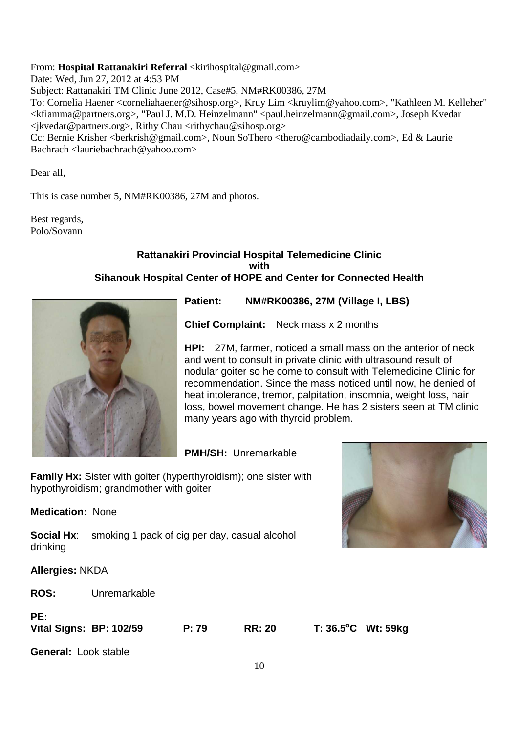From: **Hospital Rattanakiri Referral** <kirihospital@gmail.com>

Date: Wed, Jun 27, 2012 at 4:53 PM

Subject: Rattanakiri TM Clinic June 2012, Case#5, NM#RK00386, 27M

To: Cornelia Haener <corneliahaener@sihosp.org>, Kruy Lim <kruylim@yahoo.com>, "Kathleen M. Kelleher" <kfiamma@partners.org>, "Paul J. M.D. Heinzelmann" <paul.heinzelmann@gmail.com>, Joseph Kvedar <jkvedar@partners.org>, Rithy Chau <rithychau@sihosp.org>

Cc: Bernie Krisher <br/>berkrish@gmail.com>, Noun SoThero <thero@cambodiadaily.com>, Ed & Laurie Bachrach <lauriebachrach@yahoo.com>

Dear all,

This is case number 5, NM#RK00386, 27M and photos.

Best regards, Polo/Sovann

#### **Rattanakiri Provincial Hospital Telemedicine Clinic with Sihanouk Hospital Center of HOPE and Center for Connected Health**



**Patient: NM#RK00386, 27M (Village I, LBS)** 

**Chief Complaint:** Neck mass x 2 months

**HPI:** 27M, farmer, noticed a small mass on the anterior of neck and went to consult in private clinic with ultrasound result of nodular goiter so he come to consult with Telemedicine Clinic for recommendation. Since the mass noticed until now, he denied of heat intolerance, tremor, palpitation, insomnia, weight loss, hair loss, bowel movement change. He has 2 sisters seen at TM clinic many years ago with thyroid problem.

# **PMH/SH:** Unremarkable

**Family Hx:** Sister with goiter (hyperthyroidism); one sister with hypothyroidism; grandmother with goiter

**Medication:** None

**Social Hx:** smoking 1 pack of cig per day, casual alcohol drinking

**Allergies:** NKDA

**ROS:** Unremarkable

# **PE:**

**Vital Signs: BP: 102/59 P: 79 RR: 20 T: 36.5<sup>o</sup>C Wt: 59kg**

**General:** Look stable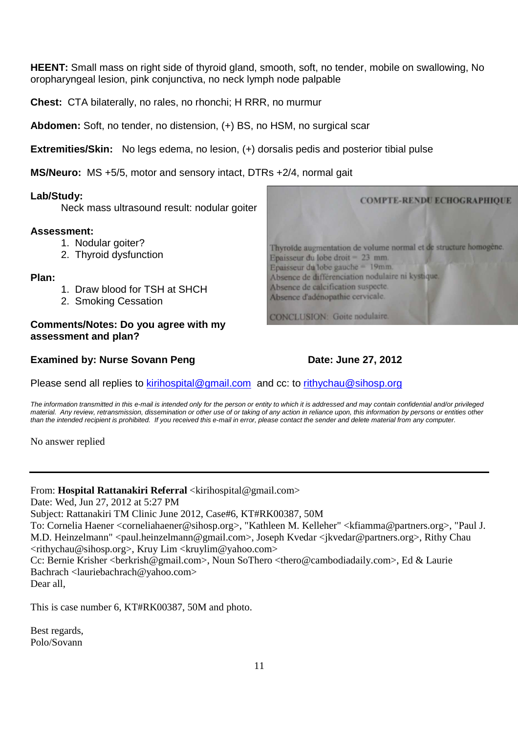**HEENT:** Small mass on right side of thyroid gland, smooth, soft, no tender, mobile on swallowing, No oropharyngeal lesion, pink conjunctiva, no neck lymph node palpable

**Chest:** CTA bilaterally, no rales, no rhonchi; H RRR, no murmur

**Abdomen:** Soft, no tender, no distension, (+) BS, no HSM, no surgical scar

**Extremities/Skin:** No legs edema, no lesion, (+) dorsalis pedis and posterior tibial pulse

**MS/Neuro:** MS +5/5, motor and sensory intact, DTRs +2/4, normal gait

# **Lab/Study:**

Neck mass ultrasound result: nodular goiter

# **Assessment:**

- 1. Nodular goiter?
- 2. Thyroid dysfunction

# **Plan:**

- 1. Draw blood for TSH at SHCH
- 2. Smoking Cessation

**Comments/Notes: Do you agree with my assessment and plan?** 

# **Examined by: Nurse Sovann Peng Date: June 27, 2012**

Thyroïde augmentation de volume normal et de structure homogène. Epaisseur du lobe droit =  $23$  mm. Epaisseur du lobe gauche = 19mm. Absence de différenciation nodulaire ni kystique, Absence de calcification suspecte. Absence d'adénopathie cervicale.

CONCLUSION: Goite nodulaire.

Please send all replies to kirihospital@gmail.com and cc: to rithychau@sihosp.org

The information transmitted in this e-mail is intended only for the person or entity to which it is addressed and may contain confidential and/or privileged material. Any review, retransmission, dissemination or other use of or taking of any action in reliance upon, this information by persons or entities other than the intended recipient is prohibited. If you received this e-mail in error, please contact the sender and delete material from any computer.

No answer replied

# From: **Hospital Rattanakiri Referral** <kirihospital@gmail.com>

Date: Wed, Jun 27, 2012 at 5:27 PM

Subject: Rattanakiri TM Clinic June 2012, Case#6, KT#RK00387, 50M

To: Cornelia Haener <corneliahaener@sihosp.org>, "Kathleen M. Kelleher" <kfiamma@partners.org>, "Paul J. M.D. Heinzelmann" <paul.heinzelmann@gmail.com>, Joseph Kvedar <jkvedar@partners.org>, Rithy Chau <rithychau@sihosp.org>, Kruy Lim <kruylim@yahoo.com>

Cc: Bernie Krisher <br/> <br/>berkrish@gmail.com>, Noun SoThero <thero@cambodiadaily.com>, Ed & Laurie Bachrach <lauriebachrach@yahoo.com>

Dear all,

This is case number 6, KT#RK00387, 50M and photo.

Best regards, Polo/Sovann

**COMPTE-RENDU ECHOGRAPHIQUE**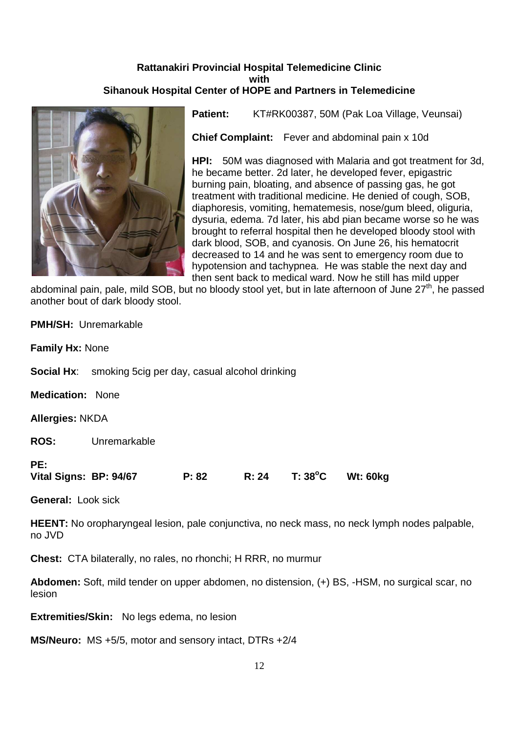# **Rattanakiri Provincial Hospital Telemedicine Clinic with Sihanouk Hospital Center of HOPE and Partners in Telemedicine**



Patient: KT#RK00387, 50M (Pak Loa Village, Veunsai)

**Chief Complaint:** Fever and abdominal pain x 10d

**HPI:** 50M was diagnosed with Malaria and got treatment for 3d, he became better. 2d later, he developed fever, epigastric burning pain, bloating, and absence of passing gas, he got treatment with traditional medicine. He denied of cough, SOB, diaphoresis, vomiting, hematemesis, nose/gum bleed, oliguria, dysuria, edema. 7d later, his abd pian became worse so he was brought to referral hospital then he developed bloody stool with dark blood, SOB, and cyanosis. On June 26, his hematocrit decreased to 14 and he was sent to emergency room due to hypotension and tachypnea. He was stable the next day and then sent back to medical ward. Now he still has mild upper

abdominal pain, pale, mild SOB, but no bloody stool yet, but in late afternoon of June 27<sup>th</sup>, he passed another bout of dark bloody stool.

| PE:<br>Vital Signs: BP: 94/67 |                                                                  | P: 82 | R: 24 | $T: 38^{\circ}$ C | <b>Wt: 60kg</b> |
|-------------------------------|------------------------------------------------------------------|-------|-------|-------------------|-----------------|
| <b>ROS:</b>                   | Unremarkable                                                     |       |       |                   |                 |
| <b>Allergies: NKDA</b>        |                                                                  |       |       |                   |                 |
|                               | <b>Medication: None</b>                                          |       |       |                   |                 |
|                               | <b>Social Hx</b> : smoking 5cig per day, casual alcohol drinking |       |       |                   |                 |
| <b>Family Hx: None</b>        |                                                                  |       |       |                   |                 |
|                               | <b>PMH/SH: Unremarkable</b>                                      |       |       |                   |                 |

**General:** Look sick

**HEENT:** No oropharyngeal lesion, pale conjunctiva, no neck mass, no neck lymph nodes palpable, no JVD

**Chest:** CTA bilaterally, no rales, no rhonchi; H RRR, no murmur

**Abdomen:** Soft, mild tender on upper abdomen, no distension, (+) BS, -HSM, no surgical scar, no lesion

**Extremities/Skin:** No legs edema, no lesion

**MS/Neuro:** MS +5/5, motor and sensory intact, DTRs +2/4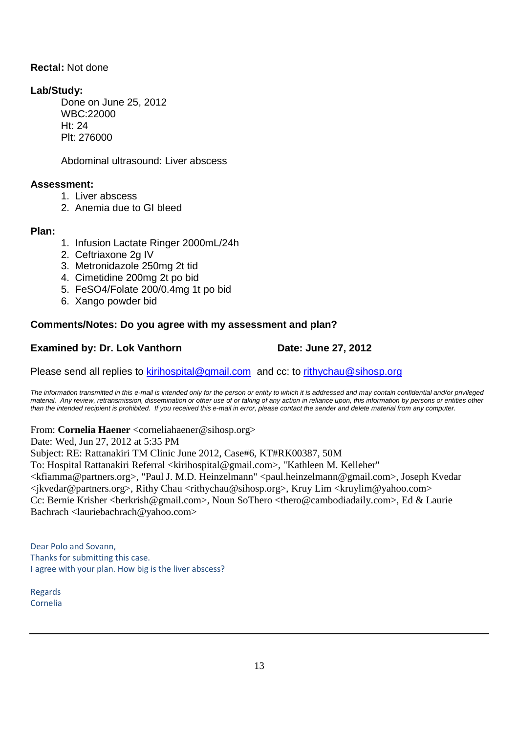# **Rectal:** Not done

# **Lab/Study:**

Done on June 25, 2012 WBC:22000 Ht: 24 Plt: 276000

Abdominal ultrasound: Liver abscess

# **Assessment:**

- 1. Liver abscess
- 2. Anemia due to GI bleed

# **Plan:**

- 1. Infusion Lactate Ringer 2000mL/24h
- 2. Ceftriaxone 2g IV
- 3. Metronidazole 250mg 2t tid
- 4. Cimetidine 200mg 2t po bid
- 5. FeSO4/Folate 200/0.4mg 1t po bid
- 6. Xango powder bid

# **Comments/Notes: Do you agree with my assessment and plan?**

# **Examined by: Dr. Lok Vanthorn Date: June 27, 2012**

Please send all replies to kirihospital@gmail.com and cc: to rithychau@sihosp.org

The information transmitted in this e-mail is intended only for the person or entity to which it is addressed and may contain confidential and/or privileged material. Any review, retransmission, dissemination or other use of or taking of any action in reliance upon, this information by persons or entities other than the intended recipient is prohibited. If you received this e-mail in error, please contact the sender and delete material from any computer.

# From: **Cornelia Haener** <corneliahaener@sihosp.org>

Date: Wed, Jun 27, 2012 at 5:35 PM

Subject: RE: Rattanakiri TM Clinic June 2012, Case#6, KT#RK00387, 50M To: Hospital Rattanakiri Referral <kirihospital@gmail.com>, "Kathleen M. Kelleher" <kfiamma@partners.org>, "Paul J. M.D. Heinzelmann" <paul.heinzelmann@gmail.com>, Joseph Kvedar <jkvedar@partners.org>, Rithy Chau <rithychau@sihosp.org>, Kruy Lim <kruylim@yahoo.com> Cc: Bernie Krisher <berkrish@gmail.com>, Noun SoThero <thero@cambodiadaily.com>, Ed & Laurie Bachrach <lauriebachrach@yahoo.com>

Dear Polo and Sovann, Thanks for submitting this case. I agree with your plan. How big is the liver abscess?

Regards Cornelia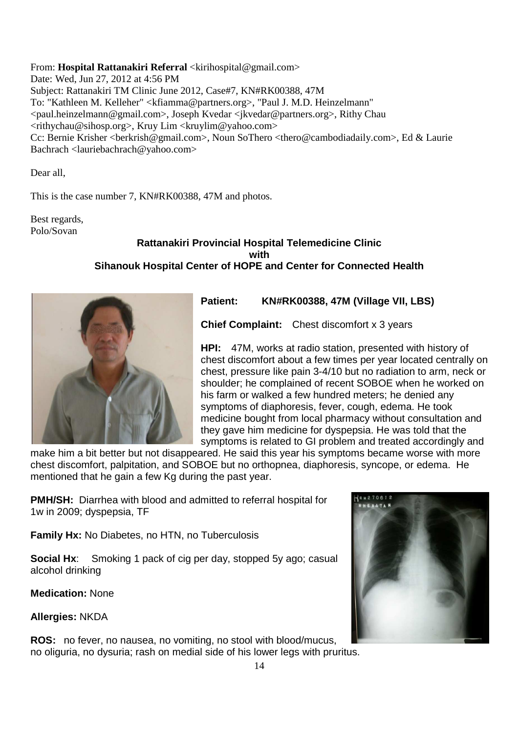From: **Hospital Rattanakiri Referral** <kirihospital@gmail.com> Date: Wed, Jun 27, 2012 at 4:56 PM Subject: Rattanakiri TM Clinic June 2012, Case#7, KN#RK00388, 47M To: "Kathleen M. Kelleher" <kfiamma@partners.org>, "Paul J. M.D. Heinzelmann" <paul.heinzelmann@gmail.com>, Joseph Kvedar <jkvedar@partners.org>, Rithy Chau <rithychau@sihosp.org>, Kruy Lim <kruylim@yahoo.com> Cc: Bernie Krisher <br/>berkrish@gmail.com>, Noun SoThero <thero@cambodiadaily.com>, Ed & Laurie Bachrach <lauriebachrach@yahoo.com>

Dear all,

This is the case number 7, KN#RK00388, 47M and photos.

Best regards, Polo/Sovan

# **Rattanakiri Provincial Hospital Telemedicine Clinic with Sihanouk Hospital Center of HOPE and Center for Connected Health**



**Patient: KN#RK00388, 47M (Village VII, LBS)** 

**Chief Complaint:** Chest discomfort x 3 years

**HPI:** 47M, works at radio station, presented with history of chest discomfort about a few times per year located centrally on chest, pressure like pain 3-4/10 but no radiation to arm, neck or shoulder; he complained of recent SOBOE when he worked on his farm or walked a few hundred meters; he denied any symptoms of diaphoresis, fever, cough, edema. He took medicine bought from local pharmacy without consultation and they gave him medicine for dyspepsia. He was told that the symptoms is related to GI problem and treated accordingly and

make him a bit better but not disappeared. He said this year his symptoms became worse with more chest discomfort, palpitation, and SOBOE but no orthopnea, diaphoresis, syncope, or edema. He mentioned that he gain a few Kg during the past year.

**PMH/SH:** Diarrhea with blood and admitted to referral hospital for 1w in 2009; dyspepsia, TF

**Family Hx:** No Diabetes, no HTN, no Tuberculosis

**Social Hx:** Smoking 1 pack of cig per day, stopped 5y ago; casual alcohol drinking

**Medication:** None

**Allergies:** NKDA

**ROS:** no fever, no nausea, no vomiting, no stool with blood/mucus, no oliguria, no dysuria; rash on medial side of his lower legs with pruritus.

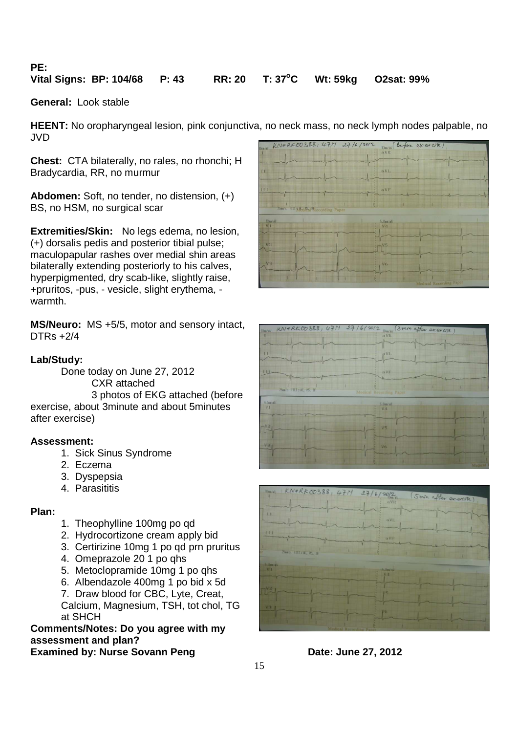**PE:** 

# **Vital Signs: BP: 104/68 P: 43 RR: 20 T: 37<sup>o</sup>C Wt: 59kg O2sat: 99%**

**General:** Look stable

**HEENT:** No oropharyngeal lesion, pink conjunctiva, no neck mass, no neck lymph nodes palpable, no JVD

**Chest:** CTA bilaterally, no rales, no rhonchi; H Bradycardia, RR, no murmur

**Abdomen:** Soft, no tender, no distension, (+) BS, no HSM, no surgical scar

**Extremities/Skin:** No legs edema, no lesion, (+) dorsalis pedis and posterior tibial pulse; maculopapular rashes over medial shin areas bilaterally extending posteriorly to his calves, hyperpigmented, dry scab-like, slightly raise, +pruritos, -pus, - vesicle, slight erythema, warmth.

**MS/Neuro:** MS +5/5, motor and sensory intact, DTRs +2/4

# **Lab/Study:**

Done today on June 27, 2012 CXR attached 3 photos of EKG attached (before exercise, about 3minute and about 5minutes after exercise)

#### **Assessment:**

- 1. Sick Sinus Syndrome
- 2. Eczema
- 3. Dyspepsia
- 4. Parasititis

#### **Plan:**

- 1. Theophylline 100mg po qd
- 2. Hydrocortizone cream apply bid
- 3. Certirizine 10mg 1 po qd prn pruritus
- 4. Omeprazole 20 1 po qhs
- 5. Metoclopramide 10mg 1 po qhs
- 6. Albendazole 400mg 1 po bid x 5d

7. Draw blood for CBC, Lyte, Creat, Calcium, Magnesium, TSH, tot chol, TG at SHCH

**Comments/Notes: Do you agree with my assessment and plan?**

# **Examined by: Nurse Sovann Peng Date: June 27, 2012**





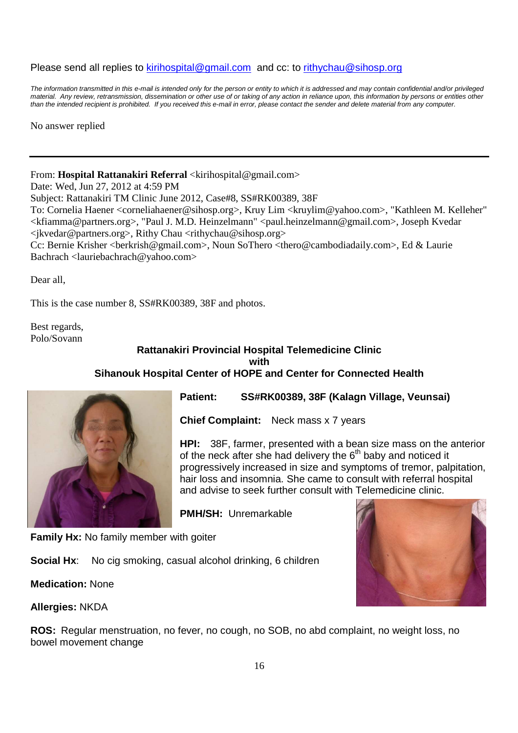# Please send all replies to kirihospital@gmail.com and cc: to rithychau@sihosp.org

The information transmitted in this e-mail is intended only for the person or entity to which it is addressed and may contain confidential and/or privileged material. Any review, retransmission, dissemination or other use of or taking of any action in reliance upon, this information by persons or entities other than the intended recipient is prohibited. If you received this e-mail in error, please contact the sender and delete material from any computer.

No answer replied

# From: **Hospital Rattanakiri Referral** <kirihospital@gmail.com>

Date: Wed, Jun 27, 2012 at 4:59 PM

Subject: Rattanakiri TM Clinic June 2012, Case#8, SS#RK00389, 38F

To: Cornelia Haener <corneliahaener@sihosp.org>, Kruy Lim <kruylim@yahoo.com>, "Kathleen M. Kelleher" <kfiamma@partners.org>, "Paul J. M.D. Heinzelmann" <paul.heinzelmann@gmail.com>, Joseph Kvedar <jkvedar@partners.org>, Rithy Chau <rithychau@sihosp.org>

Cc: Bernie Krisher <br/> <br/>berkrish@gmail.com>, Noun SoThero <thero@cambodiadaily.com>, Ed & Laurie Bachrach <lauriebachrach@yahoo.com>

Dear all,

This is the case number 8, SS#RK00389, 38F and photos.

Best regards, Polo/Sovann

# **Rattanakiri Provincial Hospital Telemedicine Clinic with Sihanouk Hospital Center of HOPE and Center for Connected Health**



**Patient: SS#RK00389, 38F (Kalagn Village, Veunsai)** 

**Chief Complaint:** Neck mass x 7 years

**HPI:** 38F, farmer, presented with a bean size mass on the anterior of the neck after she had delivery the 6<sup>th</sup> baby and noticed it progressively increased in size and symptoms of tremor, palpitation, hair loss and insomnia. She came to consult with referral hospital and advise to seek further consult with Telemedicine clinic.

**PMH/SH:** Unremarkable

**Family Hx:** No family member with goiter

**Social Hx:** No cig smoking, casual alcohol drinking, 6 children

**Medication:** None



**Allergies:** NKDA

**ROS:** Regular menstruation, no fever, no cough, no SOB, no abd complaint, no weight loss, no bowel movement change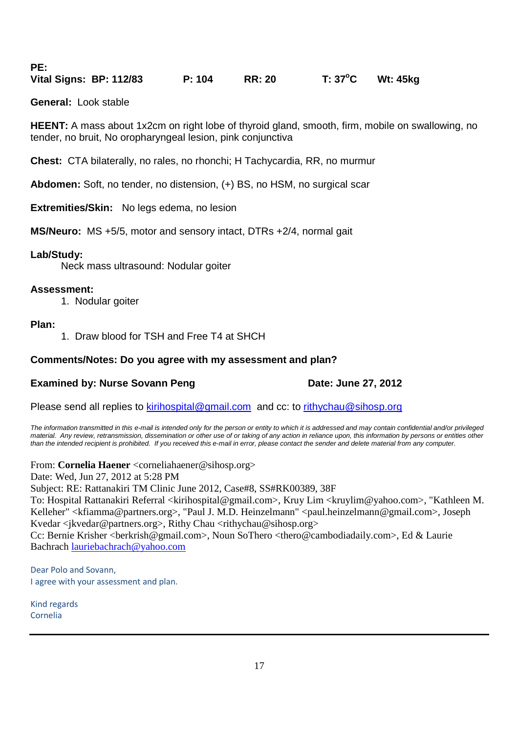**PE: Vital Signs: BP: 112/83 P: 104 RR: 20 T: 37<sup>o</sup>C Wt: 45kg**

**General:** Look stable

**HEENT:** A mass about 1x2cm on right lobe of thyroid gland, smooth, firm, mobile on swallowing, no tender, no bruit, No oropharyngeal lesion, pink conjunctiva

**Chest:** CTA bilaterally, no rales, no rhonchi; H Tachycardia, RR, no murmur

**Abdomen:** Soft, no tender, no distension, (+) BS, no HSM, no surgical scar

**Extremities/Skin:** No legs edema, no lesion

**MS/Neuro:** MS +5/5, motor and sensory intact, DTRs +2/4, normal gait

# **Lab/Study:**

Neck mass ultrasound: Nodular goiter

# **Assessment:**

1. Nodular goiter

# **Plan:**

1. Draw blood for TSH and Free T4 at SHCH

# **Comments/Notes: Do you agree with my assessment and plan?**

# **Examined by: Nurse Sovann Peng Date: June 27, 2012**

Please send all replies to kirihospital@gmail.com and cc: to rithychau@sihosp.org

The information transmitted in this e-mail is intended only for the person or entity to which it is addressed and may contain confidential and/or privileged material. Any review, retransmission, dissemination or other use of or taking of any action in reliance upon, this information by persons or entities other than the intended recipient is prohibited. If you received this e-mail in error, please contact the sender and delete material from any computer.

From: **Cornelia Haener** <corneliahaener@sihosp.org>

Date: Wed, Jun 27, 2012 at 5:28 PM

Subject: RE: Rattanakiri TM Clinic June 2012, Case#8, SS#RK00389, 38F

To: Hospital Rattanakiri Referral <kirihospital@gmail.com>, Kruy Lim <kruylim@yahoo.com>, "Kathleen M. Kelleher" <kfiamma@partners.org>, "Paul J. M.D. Heinzelmann" <paul.heinzelmann@gmail.com>, Joseph Kvedar <jkvedar@partners.org>, Rithy Chau <rithychau@sihosp.org>

Cc: Bernie Krisher <berkrish@gmail.com>, Noun SoThero <thero@cambodiadaily.com>, Ed & Laurie Bachrach lauriebachrach@yahoo.com

Dear Polo and Sovann, I agree with your assessment and plan.

Kind regards Cornelia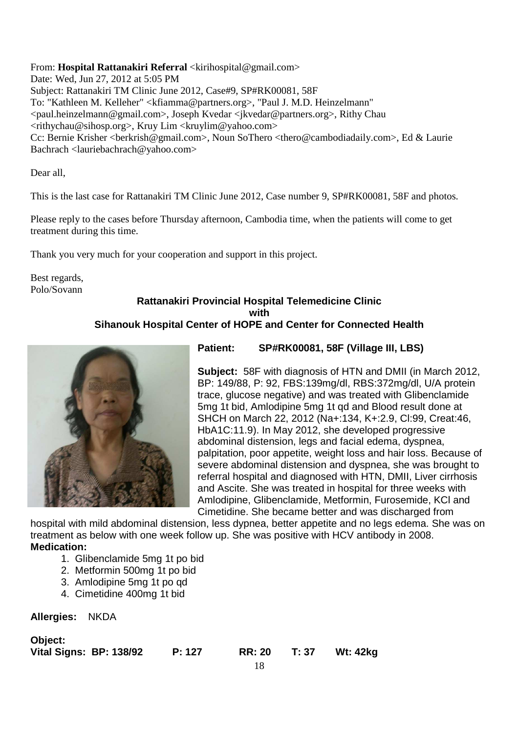From: **Hospital Rattanakiri Referral** <kirihospital@gmail.com>

Date: Wed, Jun 27, 2012 at 5:05 PM Subject: Rattanakiri TM Clinic June 2012, Case#9, SP#RK00081, 58F To: "Kathleen M. Kelleher" <kfiamma@partners.org>, "Paul J. M.D. Heinzelmann" <paul.heinzelmann@gmail.com>, Joseph Kvedar <jkvedar@partners.org>, Rithy Chau <rithychau@sihosp.org>, Kruy Lim <kruylim@yahoo.com> Cc: Bernie Krisher <br/> <br/>berkrish@gmail.com>, Noun SoThero <thero@cambodiadaily.com>, Ed & Laurie Bachrach <lauriebachrach@yahoo.com>

Dear all,

This is the last case for Rattanakiri TM Clinic June 2012, Case number 9, SP#RK00081, 58F and photos.

Please reply to the cases before Thursday afternoon, Cambodia time, when the patients will come to get treatment during this time.

Thank you very much for your cooperation and support in this project.

Best regards, Polo/Sovann

# **Rattanakiri Provincial Hospital Telemedicine Clinic with Sihanouk Hospital Center of HOPE and Center for Connected Health**



**Patient: SP#RK00081, 58F (Village III, LBS)** 

**Subject:** 58F with diagnosis of HTN and DMII (in March 2012, BP: 149/88, P: 92, FBS:139mg/dl, RBS:372mg/dl, U/A protein trace, glucose negative) and was treated with Glibenclamide 5mg 1t bid, Amlodipine 5mg 1t qd and Blood result done at SHCH on March 22, 2012 (Na+:134, K+:2.9, Cl:99, Creat:46, HbA1C:11.9). In May 2012, she developed progressive abdominal distension, legs and facial edema, dyspnea, palpitation, poor appetite, weight loss and hair loss. Because of severe abdominal distension and dyspnea, she was brought to referral hospital and diagnosed with HTN, DMII, Liver cirrhosis and Ascite. She was treated in hospital for three weeks with Amlodipine, Glibenclamide, Metformin, Furosemide, KCl and Cimetidine. She became better and was discharged from

hospital with mild abdominal distension, less dypnea, better appetite and no legs edema. She was on treatment as below with one week follow up. She was positive with HCV antibody in 2008. **Medication:** 

- 1. Glibenclamide 5mg 1t po bid
- 2. Metformin 500mg 1t po bid
- 3. Amlodipine 5mg 1t po qd
- 4. Cimetidine 400mg 1t bid

**Allergies:** NKDA

**Object:** 

**Vital Signs: BP: 138/92 P: 127 RR: 20 T: 37 Wt: 42kg**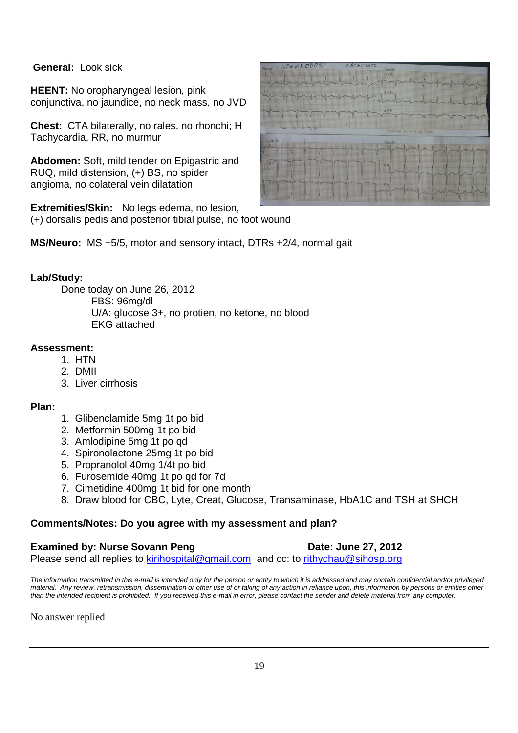# **General:** Look sick

**HEENT:** No oropharyngeal lesion, pink conjunctiva, no jaundice, no neck mass, no JVD

**Chest:** CTA bilaterally, no rales, no rhonchi; H Tachycardia, RR, no murmur

**Abdomen:** Soft, mild tender on Epigastric and RUQ, mild distension, (+) BS, no spider angioma, no colateral vein dilatation

**Extremities/Skin:** No legs edema, no lesion, (+) dorsalis pedis and posterior tibial pulse, no foot wound

**MS/Neuro:** MS +5/5, motor and sensory intact, DTRs +2/4, normal gait

# **Lab/Study:**

Done today on June 26, 2012 FBS: 96mg/dl U/A: glucose 3+, no protien, no ketone, no blood EKG attached

# **Assessment:**

- 1. HTN
- 2. DMII
- 3. Liver cirrhosis

# **Plan:**

- 1. Glibenclamide 5mg 1t po bid
- 2. Metformin 500mg 1t po bid
- 3. Amlodipine 5mg 1t po qd
- 4. Spironolactone 25mg 1t po bid
- 5. Propranolol 40mg 1/4t po bid
- 6. Furosemide 40mg 1t po qd for 7d
- 7. Cimetidine 400mg 1t bid for one month
- 8. Draw blood for CBC, Lyte, Creat, Glucose, Transaminase, HbA1C and TSH at SHCH

# **Comments/Notes: Do you agree with my assessment and plan?**

#### **Examined by: Nurse Sovann Peng Date: June 27, 2012** Please send all replies to kirihospital@gmail.com and cc: to rithychau@sihosp.org

The information transmitted in this e-mail is intended only for the person or entity to which it is addressed and may contain confidential and/or privileged material. Any review, retransmission, dissemination or other use of or taking of any action in reliance upon, this information by persons or entities other than the intended recipient is prohibited. If you received this e-mail in error, please contact the sender and delete material from any computer.

No answer replied

| SP@RK\$00081<br>IDencay.    | 26/6/20/2<br>10mm/mV<br><b>AVR</b>                   |
|-----------------------------|------------------------------------------------------|
|                             |                                                      |
|                             | $\frac{1}{2}$ $\frac{1}{2}$                          |
| ₩                           | The AVE                                              |
| ZSun's FILT: N. TS, DF      | Medical Recording Paper                              |
| 5. Dan/aV<br>N <sub>1</sub> | V <sub>1</sub>                                       |
| $\mathbb{C}^{\nu_2}$        | $\left  \begin{array}{c} 1 \\ 2 \end{array} \right $ |
|                             | mmm                                                  |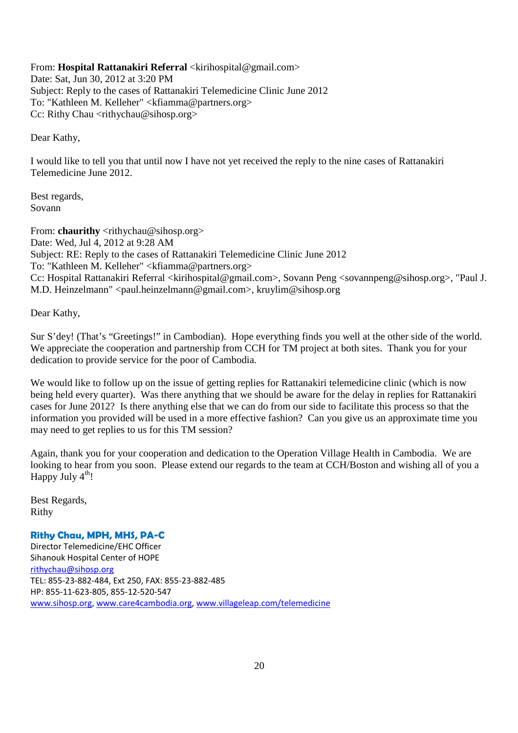From: **Hospital Rattanakiri Referral** <kirihospital@gmail.com> Date: Sat, Jun 30, 2012 at 3:20 PM Subject: Reply to the cases of Rattanakiri Telemedicine Clinic June 2012 To: "Kathleen M. Kelleher" <kfiamma@partners.org> Cc: Rithy Chau <rithychau@sihosp.org>

Dear Kathy,

I would like to tell you that until now I have not yet received the reply to the nine cases of Rattanakiri Telemedicine June 2012.

Best regards, Sovann

From: **chaurithy** <rithychau@sihosp.org> Date: Wed, Jul 4, 2012 at 9:28 AM Subject: RE: Reply to the cases of Rattanakiri Telemedicine Clinic June 2012 To: "Kathleen M. Kelleher" <kfiamma@partners.org> Cc: Hospital Rattanakiri Referral <kirihospital@gmail.com>, Sovann Peng <sovannpeng@sihosp.org>, "Paul J. M.D. Heinzelmann" <paul.heinzelmann@gmail.com>, kruylim@sihosp.org

Dear Kathy,

Sur S'dey! (That's "Greetings!" in Cambodian). Hope everything finds you well at the other side of the world. We appreciate the cooperation and partnership from CCH for TM project at both sites. Thank you for your dedication to provide service for the poor of Cambodia.

We would like to follow up on the issue of getting replies for Rattanakiri telemedicine clinic (which is now being held every quarter). Was there anything that we should be aware for the delay in replies for Rattanakiri cases for June 2012? Is there anything else that we can do from our side to facilitate this process so that the information you provided will be used in a more effective fashion? Can you give us an approximate time you may need to get replies to us for this TM session?

Again, thank you for your cooperation and dedication to the Operation Village Health in Cambodia. We are looking to hear from you soon. Please extend our regards to the team at CCH/Boston and wishing all of you a Happy July  $4^{th}!$ 

Best Regards, Rithy

# **Rithy Chau, MPH, MHS, PA-C**

Director Telemedicine/EHC Officer Sihanouk Hospital Center of HOPE rithychau@sihosp.org TEL: 855-23-882-484, Ext 250, FAX: 855-23-882-485 HP: 855-11-623-805, 855-12-520-547 www.sihosp.org, www.care4cambodia.org, www.villageleap.com/telemedicine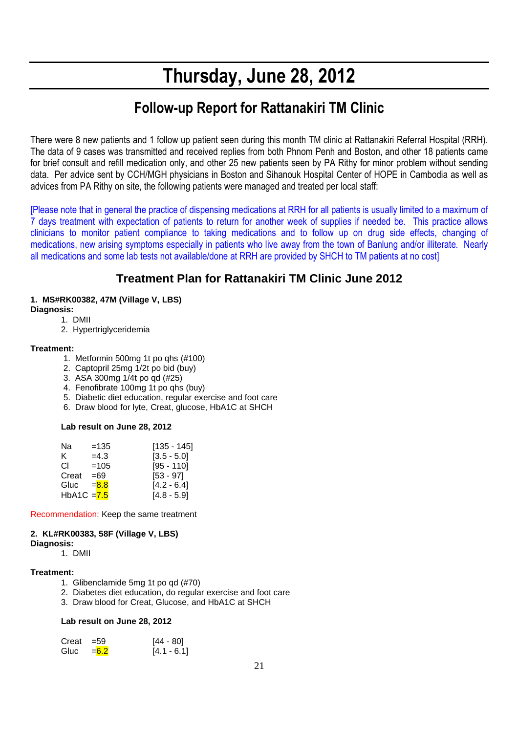# **Thursday, June 28, 2012**

# **Follow-up Report for Rattanakiri TM Clinic**

There were 8 new patients and 1 follow up patient seen during this month TM clinic at Rattanakiri Referral Hospital (RRH). The data of 9 cases was transmitted and received replies from both Phnom Penh and Boston, and other 18 patients came for brief consult and refill medication only, and other 25 new patients seen by PA Rithy for minor problem without sending data. Per advice sent by CCH/MGH physicians in Boston and Sihanouk Hospital Center of HOPE in Cambodia as well as advices from PA Rithy on site, the following patients were managed and treated per local staff:

[Please note that in general the practice of dispensing medications at RRH for all patients is usually limited to a maximum of 7 days treatment with expectation of patients to return for another week of supplies if needed be. This practice allows clinicians to monitor patient compliance to taking medications and to follow up on drug side effects, changing of medications, new arising symptoms especially in patients who live away from the town of Banlung and/or illiterate. Nearly all medications and some lab tests not available/done at RRH are provided by SHCH to TM patients at no cost]

# **Treatment Plan for Rattanakiri TM Clinic June 2012**

# **1. MS#RK00382, 47M (Village V, LBS)**

**Diagnosis:**

- 1. DMII
- 2. Hypertriglyceridemia

#### **Treatment:**

- 1. Metformin 500mg 1t po qhs (#100)
- 2. Captopril 25mg 1/2t po bid (buy)
- 3. ASA 300mg 1/4t po qd (#25)
- 4. Fenofibrate 100mg 1t po qhs (buy)
- 5. Diabetic diet education, regular exercise and foot care
- 6. Draw blood for lyte, Creat, glucose, HbA1C at SHCH

#### **Lab result on June 28, 2012**

| Na            | $=135$  | $[135 - 145]$ |
|---------------|---------|---------------|
| ĸ.            | $=4.3$  | $[3.5 - 5.0]$ |
| CI.           | $=105$  | $[95 - 110]$  |
| Creat         | $=69$   | $[53 - 97]$   |
| Gluc          | $= 8.8$ | $[4.2 - 6.4]$ |
| $HbA1C = 7.5$ |         | $[4.8 - 5.9]$ |

Recommendation: Keep the same treatment

# **2. KL#RK00383, 58F (Village V, LBS)**

#### **Diagnosis:**

1. DMII

#### **Treatment:**

- 1. Glibenclamide 5mg 1t po qd (#70)
- 2. Diabetes diet education, do regular exercise and foot care
- 3. Draw blood for Creat, Glucose, and HbA1C at SHCH

#### **Lab result on June 28, 2012**

| $Create = 59$ |                       | $[44 - 80]$   |
|---------------|-----------------------|---------------|
|               | Gluc $=\frac{6.2}{6}$ | $[4.1 - 6.1]$ |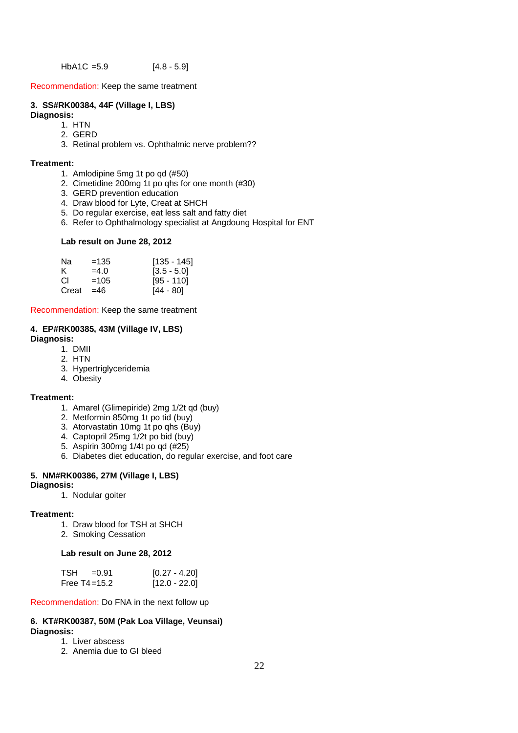$HbA1C = 5.9$  [4.8 - 5.9]

Recommendation: Keep the same treatment

#### **3. SS#RK00384, 44F (Village I, LBS)**

#### **Diagnosis:**

- 1. HTN
- 2. GERD
- 3. Retinal problem vs. Ophthalmic nerve problem??

#### **Treatment:**

- 1. Amlodipine 5mg 1t po qd (#50)
- 2. Cimetidine 200mg 1t po qhs for one month (#30)
- 3. GERD prevention education
- 4. Draw blood for Lyte, Creat at SHCH
- 5. Do regular exercise, eat less salt and fatty diet
- 6. Refer to Ophthalmology specialist at Angdoung Hospital for ENT

#### **Lab result on June 28, 2012**

| Nа    | $=135$ | $[135 - 145]$ |
|-------|--------|---------------|
| ĸ.    | $=4.0$ | $[3.5 - 5.0]$ |
| CI.   | $=105$ | [95 - 110]    |
| Creat | $=46$  | [44 - 80]     |

Recommendation: Keep the same treatment

#### **4. EP#RK00385, 43M (Village IV, LBS) Diagnosis:**

1. DMII

- 2. HTN
- 3. Hypertriglyceridemia
- 4. Obesity

#### **Treatment:**

- 1. Amarel (Glimepiride) 2mg 1/2t qd (buy)
- 2. Metformin 850mg 1t po tid (buy)
- 3. Atorvastatin 10mg 1t po qhs (Buy)
- 4. Captopril 25mg 1/2t po bid (buy)
- 5. Aspirin 300mg 1/4t po qd (#25)
- 6. Diabetes diet education, do regular exercise, and foot care

# **5. NM#RK00386, 27M (Village I, LBS)**

#### **Diagnosis:**

1. Nodular goiter

#### **Treatment:**

- 1. Draw blood for TSH at SHCH
- 2. Smoking Cessation

#### **Lab result on June 28, 2012**

| TSH | $=0.91$          | $[0.27 - 4.20]$ |
|-----|------------------|-----------------|
|     | Free $T4 = 15.2$ | $[12.0 - 22.0]$ |

Recommendation: Do FNA in the next follow up

#### **6. KT#RK00387, 50M (Pak Loa Village, Veunsai) Diagnosis:**

- 1. Liver abscess
- 2. Anemia due to GI bleed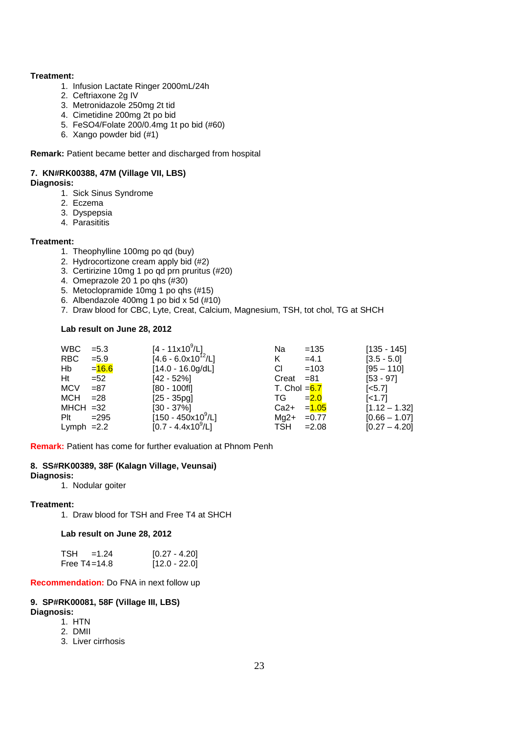#### **Treatment:**

- 1. Infusion Lactate Ringer 2000mL/24h
- 2. Ceftriaxone 2g IV
- 3. Metronidazole 250mg 2t tid
- 4. Cimetidine 200mg 2t po bid
- 5. FeSO4/Folate 200/0.4mg 1t po bid (#60)
- 6. Xango powder bid (#1)

**Remark:** Patient became better and discharged from hospital

#### **7. KN#RK00388, 47M (Village VII, LBS)**

#### **Diagnosis:**

- 1. Sick Sinus Syndrome
- 2. Eczema
- 3. Dyspepsia
- 4. Parasititis

#### **Treatment:**

- 1. Theophylline 100mg po qd (buy)
- 2. Hydrocortizone cream apply bid (#2)
- 3. Certirizine 10mg 1 po qd prn pruritus (#20)
- 4. Omeprazole 20 1 po qhs (#30)
- 5. Metoclopramide 10mg 1 po qhs (#15)
- 6. Albendazole 400mg 1 po bid x 5d (#10)
- 7. Draw blood for CBC, Lyte, Creat, Calcium, Magnesium, TSH, tot chol, TG at SHCH

#### **Lab result on June 28, 2012**

| <b>WBC</b>   | $= 5.3$  | $[4 - 11 \times 10^9 / L]$   | Na             | $=135$   | $[135 - 145]$      |
|--------------|----------|------------------------------|----------------|----------|--------------------|
| RBC.         | $= 5.9$  | $[4.6 - 6.0x10^{12}/L]$      | K.             | $=4.1$   | $[3.5 - 5.0]$      |
| Hb           | $= 16.6$ | $[14.0 - 16.0g/dL]$          | СI             | $=103$   | $[95 - 110]$       |
| Ht           | $= 52$   | $[42 - 52\%]$                | Creat          | =81      | $[53 - 97]$        |
| <b>MCV</b>   | $= 87$   | $[80 - 100f]$                | T. Chol $=6.7$ |          | $\left[5.7\right]$ |
| MCH          | $= 28$   | $[25 - 35pg]$                | TG.            | $= 2.0$  | $\left[$ < 1.7]    |
| $MHCH = 32$  |          | $[30 - 37\%]$                | Ca2+           | $= 1.05$ | $[1.12 - 1.32]$    |
| Plt          | $=295$   | $[150 - 450 \times 10^9$ /L] | Ma2+           | $=0.77$  | $[0.66 - 1.07]$    |
| Lymph $=2.2$ |          | $[0.7 - 4.4x10^9/L]$         | TSH.           | $=2.08$  | $[0.27 - 4.20]$    |

**Remark:** Patient has come for further evaluation at Phnom Penh

#### **8. SS#RK00389, 38F (Kalagn Village, Veunsai)**

#### **Diagnosis:**

1. Nodular goiter

#### **Treatment:**

1. Draw blood for TSH and Free T4 at SHCH

**Lab result on June 28, 2012** 

| <b>TSH</b><br>$=1.24$ | $[0.27 - 4.20]$ |
|-----------------------|-----------------|
| Free $T4 = 14.8$      | $[12.0 - 22.0]$ |

**Recommendation:** Do FNA in next follow up

#### **9. SP#RK00081, 58F (Village III, LBS) Diagnosis:**

1. HTN

- 2. DMII
- 
- 3. Liver cirrhosis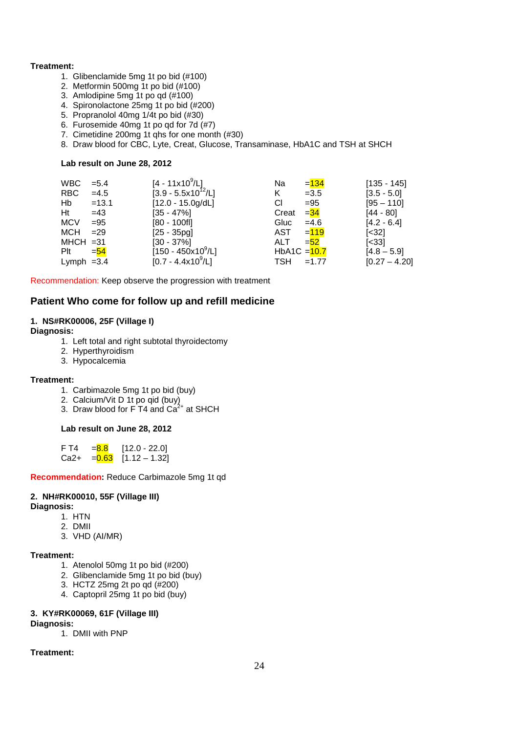#### **Treatment:**

- 1. Glibenclamide 5mg 1t po bid (#100)
- 2. Metformin 500mg 1t po bid (#100)
- 3. Amlodipine 5mg 1t po qd (#100)
- 4. Spironolactone 25mg 1t po bid (#200)
- 5. Propranolol 40mg 1/4t po bid (#30)
- 6. Furosemide 40mg 1t po qd for 7d (#7)
- 7. Cimetidine 200mg 1t qhs for one month (#30)
- 8. Draw blood for CBC, Lyte, Creat, Glucose, Transaminase, HbA1C and TSH at SHCH

#### **Lab result on June 28, 2012**

| <b>WBC</b>   | $= 5.4$ | $[4 - 11 \times 10^9/L]$ | Na             | $= 134$ | $[135 - 145]$         |
|--------------|---------|--------------------------|----------------|---------|-----------------------|
| RBC.         | $=4.5$  | $[3.9 - 5.5x10^{12}/L]$  | K              | $=3.5$  | $[3.5 - 5.0]$         |
| Hb           | $=13.1$ | $[12.0 - 15.0g/dL]$      | СI             | $= 95$  | $[95 - 110]$          |
| Ht           | $=43$   | $[35 - 47\%]$            | Creat          | $=$ 34  | $[44 - 80]$           |
| <b>MCV</b>   | $= 95$  | $[80 - 100f]$            | Gluc           | $=4.6$  | $[4.2 - 6.4]$         |
| <b>MCH</b>   | $=29$   | $[25 - 35pq]$            | AST            | $= 119$ | $[<32]$               |
| $MHCH = 31$  |         | $[30 - 37\%]$            | ALT.           | $= 52$  | $\left[ < 33 \right]$ |
| Plt          | $=$ 54  | $[150 - 450x10^9/L]$     | HbA1C $=$ 10.7 |         | $[4.8 - 5.9]$         |
| Lymph $=3.4$ |         | $[0.7 - 4.4x10^9/L]$     | <b>TSH</b>     | $=1.77$ | $[0.27 - 4.20]$       |

Recommendation: Keep observe the progression with treatment

#### **Patient Who come for follow up and refill medicine**

#### **1. NS#RK00006, 25F (Village I)**

#### **Diagnosis:**

- 1. Left total and right subtotal thyroidectomy
- 2. Hyperthyroidism
- 3. Hypocalcemia

#### **Treatment:**

- 1. Carbimazole 5mg 1t po bid (buy)
- 2. Calcium/Vit D 1t po qid (buy)
- 3. Draw blood for F T4 and  $Ca<sup>2+</sup>$  at SHCH

#### **Lab result on June 28, 2012**

| F T4   | $= 8.8$  | $[12.0 - 22.0]$ |
|--------|----------|-----------------|
| $Ca2+$ | $= 0.63$ | $[1.12 - 1.32]$ |

#### **Recommendation:** Reduce Carbimazole 5mg 1t qd

# **2. NH#RK00010, 55F (Village III)**

#### **Diagnosis:**

- 1. HTN
- 2. DMII
- 3. VHD (AI/MR)

#### **Treatment:**

- 1. Atenolol 50mg 1t po bid (#200)
- 2. Glibenclamide 5mg 1t po bid (buy)
- 3. HCTZ 25mg 2t po qd (#200)
- 4. Captopril 25mg 1t po bid (buy)

#### **3. KY#RK00069, 61F (Village III)**

#### **Diagnosis:**

1. DMII with PNP

#### **Treatment:**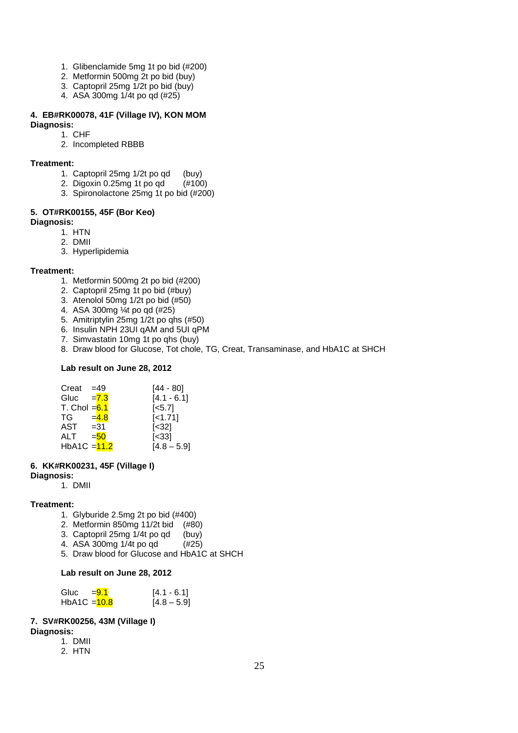- 1. Glibenclamide 5mg 1t po bid (#200)
- 2. Metformin 500mg 2t po bid (buy)
- 3. Captopril 25mg 1/2t po bid (buy)
- 4. ASA 300mg 1/4t po qd (#25)

# **4. EB#RK00078, 41F (Village IV), KON MOM**

# **Diagnosis:**

1. CHF 2. Incompleted RBBB

#### **Treatment:**

- 1. Captopril 25mg 1/2t po qd (buy)
- 2. Digoxin 0.25mg 1t po qd (#100)
- 3. Spironolactone 25mg 1t po bid (#200)

#### **5. OT#RK00155, 45F (Bor Keo)**

#### **Diagnosis:**

- 1. HTN
- 2. DMII
- 3. Hyperlipidemia

#### **Treatment:**

- 1. Metformin 500mg 2t po bid (#200)
- 2. Captopril 25mg 1t po bid (#buy)
- 3. Atenolol 50mg 1/2t po bid (#50)
- 4. ASA 300mg ¼t po qd (#25)
- 5. Amitriptylin 25mg 1/2t po qhs (#50)
- 6. Insulin NPH 23UI qAM and 5UI qPM
- 7. Simvastatin 10mg 1t po qhs (buy)
- 8. Draw blood for Glucose, Tot chole, TG, Creat, Transaminase, and HbA1C at SHCH

#### **Lab result on June 28, 2012**

| $Creat = 49$            |         | [44 - 80]          |
|-------------------------|---------|--------------------|
| Gluc                    | $= 7.3$ | $[4.1 - 6.1]$      |
| T. Chol $=6.1$          |         | $\left[5.7\right]$ |
| TG                      | $= 4.8$ | $[-1.71]$          |
| $AST = 31$              |         | [<32]              |
| ALT                     | $= 50$  | [<33]              |
| HbA1C $=\frac{11.2}{2}$ |         | $[4.8 - 5.9]$      |

#### **6. KK#RK00231, 45F (Village I)**

- **Diagnosis:** 
	- 1. DMII

#### **Treatment:**

- 1. Glyburide 2.5mg 2t po bid (#400)
- 2. Metformin 850mg 11/2t bid (#80)
- 3. Captopril 25mg 1/4t po qd (buy)
- 4. ASA 300mg 1/4t po qd (#25)
- 5. Draw blood for Glucose and HbA1C at SHCH

#### **Lab result on June 28, 2012**

| Gluc $= 9.1$   | $[4.1 - 6.1]$ |
|----------------|---------------|
| HbA1C $=$ 10.8 | $[4.8 - 5.9]$ |

#### **7. SV#RK00256, 43M (Village I)**

#### **Diagnosis:**

- 1. DMII
- 2. HTN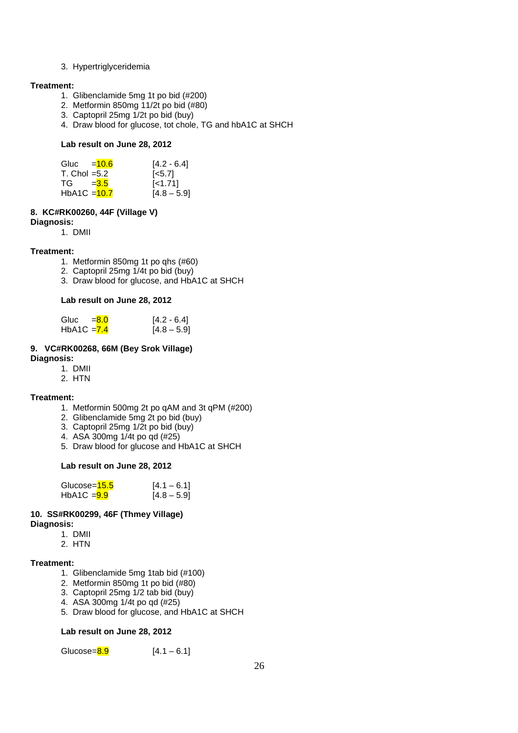#### 3. Hypertriglyceridemia

#### **Treatment:**

- 1. Glibenclamide 5mg 1t po bid (#200)
- 2. Metformin 850mg 11/2t po bid (#80)
- 3. Captopril 25mg 1/2t po bid (buy)
- 4. Draw blood for glucose, tot chole, TG and hbA1C at SHCH

#### **Lab result on June 28, 2012**

| Gluc $=$ 10.6  | $[4.2 - 6.4]$      |
|----------------|--------------------|
| T. Chol $=5.2$ | $\left[5.7\right]$ |
| $TG = 3.5$     | $\left[$ < 1.71    |
| HbA1C $=$ 10.7 | $[4.8 - 5.9]$      |

#### **8. KC#RK00260, 44F (Village V)**

#### **Diagnosis:**

1. DMII

#### **Treatment:**

- 1. Metformin 850mg 1t po qhs (#60)
- 2. Captopril 25mg 1/4t po bid (buy)
- 3. Draw blood for glucose, and HbA1C at SHCH

#### **Lab result on June 28, 2012**

| Gluc $= 8.0$  | $[4.2 - 6.4]$ |
|---------------|---------------|
| HbA1C $= 7.4$ | $[4.8 - 5.9]$ |

# **9. VC#RK00268, 66M (Bey Srok Village)**

#### **Diagnosis:**

- 1. DMII
- 2. HTN

#### **Treatment:**

- 1. Metformin 500mg 2t po qAM and 3t qPM (#200)
- 2. Glibenclamide 5mg 2t po bid (buy)
- 3. Captopril 25mg 1/2t po bid (buy)
- 4. ASA 300mg 1/4t po qd (#25)
- 5. Draw blood for glucose and HbA1C at SHCH

#### **Lab result on June 28, 2012**

| Glucose= <mark>15.5</mark> | $[4.1 - 6.1]$ |
|----------------------------|---------------|
| $HbA1C = 9.9$              | $[4.8 - 5.9]$ |

#### **10. SS#RK00299, 46F (Thmey Village) Diagnosis:**

- 1. DMII 2. HTN
- 

#### **Treatment:**

- 1. Glibenclamide 5mg 1tab bid (#100)
- 2. Metformin 850mg 1t po bid (#80)
- 3. Captopril 25mg 1/2 tab bid (buy)
- 4. ASA 300mg 1/4t po qd (#25)
- 5. Draw blood for glucose, and HbA1C at SHCH

#### **Lab result on June 28, 2012**

Glucose= $8.9$  [4.1 – 6.1]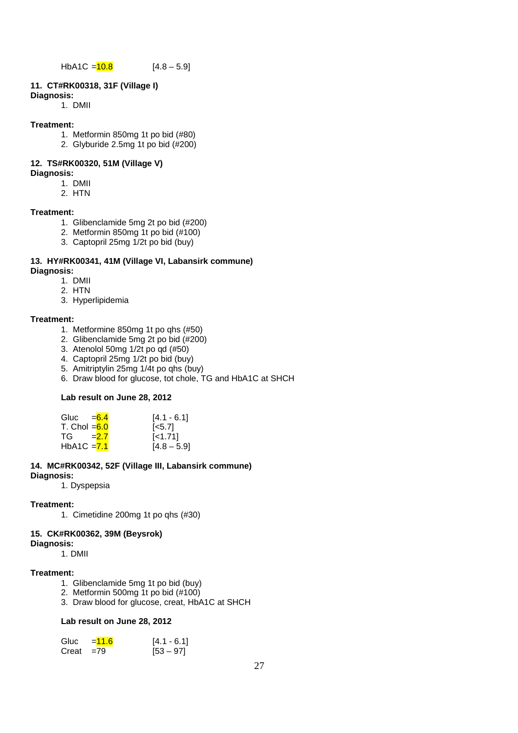# **11. CT#RK00318, 31F (Village I)**

#### **Diagnosis:**

1. DMII

#### **Treatment:**

- 1. Metformin 850mg 1t po bid (#80)
- 2. Glyburide 2.5mg 1t po bid (#200)

# **12. TS#RK00320, 51M (Village V)**

#### **Diagnosis:**

- 1. DMII
- 2. HTN

#### **Treatment:**

- 1. Glibenclamide 5mg 2t po bid (#200)
- 2. Metformin 850mg 1t po bid (#100)
- 3. Captopril 25mg 1/2t po bid (buy)

#### **13. HY#RK00341, 41M (Village VI, Labansirk commune) Diagnosis:**

- 1. DMII
- 2. HTN
- 3. Hyperlipidemia

# **Treatment:**

- 1. Metformine 850mg 1t po qhs (#50)
- 2. Glibenclamide 5mg 2t po bid (#200)
- 3. Atenolol 50mg 1/2t po qd (#50)
- 4. Captopril 25mg 1/2t po bid (buy)
- 5. Amitriptylin 25mg 1/4t po qhs (buy)
- 6. Draw blood for glucose, tot chole, TG and HbA1C at SHCH

#### **Lab result on June 28, 2012**

| Gluc $=6.4$    | $[4.1 - 6.1]$      |
|----------------|--------------------|
| T. Chol $=6.0$ | $\left[5.7\right]$ |
| $TG = 2.7$     | $[-1.71]$          |
| $HbA1C = 7.1$  | $[4.8 - 5.9]$      |

#### **14. MC#RK00342, 52F (Village III, Labansirk commune) Diagnosis:**

1. Dyspepsia

#### **Treatment:**

1. Cimetidine 200mg 1t po qhs (#30)

#### **15. CK#RK00362, 39M (Beysrok)**

#### **Diagnosis:**

1. DMII

#### **Treatment:**

- 1. Glibenclamide 5mg 1t po bid (buy)
- 2. Metformin 500mg 1t po bid (#100)
- 3. Draw blood for glucose, creat, HbA1C at SHCH

#### **Lab result on June 28, 2012**

| Gluc         | $= 11.6$ | $[4.1 - 6.1]$ |
|--------------|----------|---------------|
| $Creat = 79$ |          | $[53 - 97]$   |